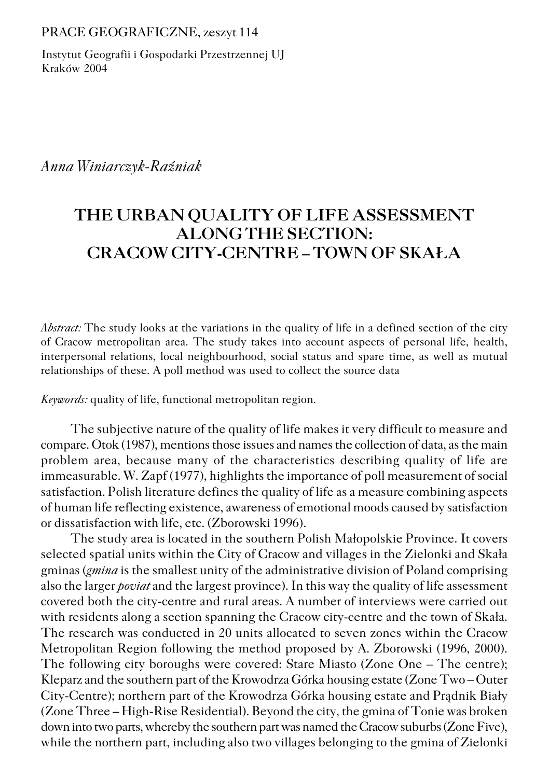PRACE GEOGRAFICZNE, zeszyt 114

Instytut Geografii i Gospodarki Przestrzennej UJ Kraków 2004

### *Anna Winiarczyk−Raźniak*

# **THE URBAN QUALITY OF LIFE ASSESSMENT ALONG THE SECTION: CRACOW CITY−CENTRE – TOWN OF SKAŁA**

*Abstract:* The study looks at the variations in the quality of life in a defined section of the city of Cracow metropolitan area. The study takes into account aspects of personal life, health, interpersonal relations, local neighbourhood, social status and spare time, as well as mutual relationships of these. A poll method was used to collect the source data

*Keywords:* quality of life, functional metropolitan region.

The subjective nature of the quality of life makes it very difficult to measure and compare. Otok (1987), mentions those issues and names the collection of data, as the main problem area, because many of the characteristics describing quality of life are immeasurable. W. Zapf (1977), highlights the importance of poll measurement of social satisfaction. Polish literature defines the quality of life as a measure combining aspects of human life reflecting existence, awareness of emotional moods caused by satisfaction or dissatisfaction with life, etc. (Zborowski 1996).

The study area is located in the southern Polish Małopolskie Province. It covers selected spatial units within the City of Cracow and villages in the Zielonki and Skała gminas (*gmina* is the smallest unity of the administrative division of Poland comprising also the larger *poviat* and the largest province). In this way the quality of life assessment covered both the city−centre and rural areas. A number of interviews were carried out with residents along a section spanning the Cracow city−centre and the town of Skała. The research was conducted in 20 units allocated to seven zones within the Cracow Metropolitan Region following the method proposed by A. Zborowski (1996, 2000). The following city boroughs were covered: Stare Miasto (Zone One – The centre); Kleparz and the southern part of the Krowodrza Górka housing estate (Zone Two – Outer City−Centre); northern part of the Krowodrza Górka housing estate and Prądnik Biały (Zone Three – High−Rise Residential). Beyond the city, the gmina of Tonie was broken down into two parts, whereby the southern part was named the Cracow suburbs (Zone Five), while the northern part, including also two villages belonging to the gmina of Zielonki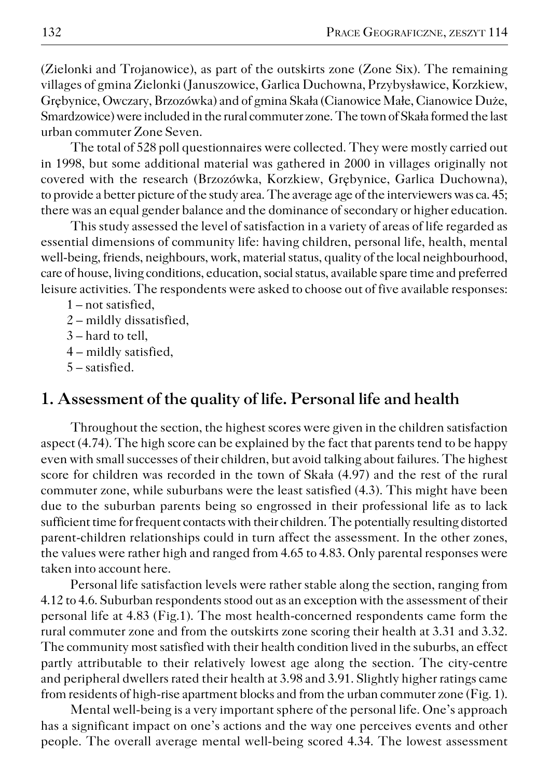(Zielonki and Trojanowice), as part of the outskirts zone (Zone Six). The remaining villages of gmina Zielonki (Januszowice, Garlica Duchowna, Przybysławice, Korzkiew, Grębynice, Owczary, Brzozówka) and of gmina Skała (Cianowice Małe, Cianowice Duże, Smardzowice) were included in the rural commuter zone. The town of Skała formed the last urban commuter Zone Seven.

The total of 528 poll questionnaires were collected. They were mostly carried out in 1998, but some additional material was gathered in 2000 in villages originally not covered with the research (Brzozówka, Korzkiew, Grębynice, Garlica Duchowna), to provide a better picture of the study area. The average age of the interviewers was ca. 45; there was an equal gender balance and the dominance of secondary or higher education.

This study assessed the level of satisfaction in a variety of areas of life regarded as essential dimensions of community life: having children, personal life, health, mental well−being, friends, neighbours, work, material status, quality of the local neighbourhood, care of house, living conditions, education, social status, available spare time and preferred leisure activities. The respondents were asked to choose out of five available responses:

1 – not satisfied,

2 – mildly dissatisfied,

- 3 hard to tell,
- 4 mildly satisfied,
- 5 satisfied.

## **1. Assessment of the quality of life. Personal life and health**

Throughout the section, the highest scores were given in the children satisfaction aspect (4.74). The high score can be explained by the fact that parents tend to be happy even with small successes of their children, but avoid talking about failures. The highest score for children was recorded in the town of Skała (4.97) and the rest of the rural commuter zone, while suburbans were the least satisfied (4.3). This might have been due to the suburban parents being so engrossed in their professional life as to lack sufficient time for frequent contacts with their children. The potentially resulting distorted parent−children relationships could in turn affect the assessment. In the other zones, the values were rather high and ranged from 4.65 to 4.83. Only parental responses were taken into account here.

Personal life satisfaction levels were rather stable along the section, ranging from 4.12 to 4.6. Suburban respondents stood out as an exception with the assessment of their personal life at 4.83 (Fig.1). The most health−concerned respondents came form the rural commuter zone and from the outskirts zone scoring their health at 3.31 and 3.32. The community most satisfied with their health condition lived in the suburbs, an effect partly attributable to their relatively lowest age along the section. The city−centre and peripheral dwellers rated their health at 3.98 and 3.91. Slightly higher ratings came from residents of high−rise apartment blocks and from the urban commuter zone (Fig. 1).

Mental well−being is a very important sphere of the personal life. One's approach has a significant impact on one's actions and the way one perceives events and other people. The overall average mental well−being scored 4.34. The lowest assessment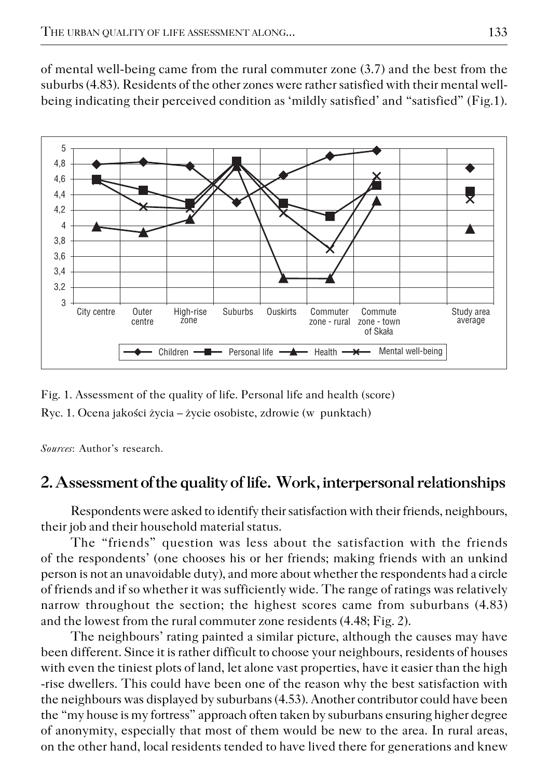of mental well−being came from the rural commuter zone (3.7) and the best from the suburbs (4.83). Residents of the other zones were rather satisfied with their mental well− being indicating their perceived condition as 'mildly satisfied' and "satisfied" (Fig.1).



Fig. 1. Assessment of the quality of life. Personal life and health (score)

Ryc. 1. Ocena jakości życia – życie osobiste, zdrowie (w punktach)

*Sources*: Author's research.

# **2. Assessment of the quality of life. Work, interpersonal relationships**

Respondents were asked to identify their satisfaction with their friends, neighbours, their job and their household material status.

The "friends" question was less about the satisfaction with the friends of the respondents' (one chooses his or her friends; making friends with an unkind person is not an unavoidable duty), and more about whether the respondents had a circle of friends and if so whether it was sufficiently wide. The range of ratings was relatively narrow throughout the section; the highest scores came from suburbans (4.83) and the lowest from the rural commuter zone residents (4.48; Fig. 2).

The neighbours' rating painted a similar picture, although the causes may have been different. Since it is rather difficult to choose your neighbours, residents of houses with even the tiniest plots of land, let alone vast properties, have it easier than the high −rise dwellers. This could have been one of the reason why the best satisfaction with the neighbours was displayed by suburbans (4.53). Another contributor could have been the "my house is my fortress" approach often taken by suburbans ensuring higher degree of anonymity, especially that most of them would be new to the area. In rural areas, on the other hand, local residents tended to have lived there for generations and knew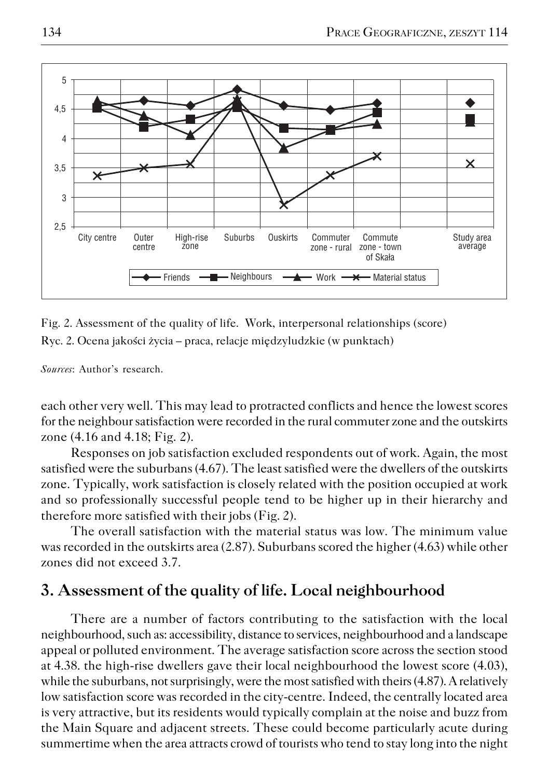

Fig. 2. Assessment of the quality of life. Work, interpersonal relationships (score)

Ryc. 2. Ocena jakości życia – praca, relacje międzyludzkie (w punktach)

*Sources*: Author's research.

each other very well. This may lead to protracted conflicts and hence the lowest scores for the neighbour satisfaction were recorded in the rural commuter zone and the outskirts zone (4.16 and 4.18; Fig. 2).

Responses on job satisfaction excluded respondents out of work. Again, the most satisfied were the suburbans (4.67). The least satisfied were the dwellers of the outskirts zone. Typically, work satisfaction is closely related with the position occupied at work and so professionally successful people tend to be higher up in their hierarchy and therefore more satisfied with their jobs (Fig. 2).

The overall satisfaction with the material status was low. The minimum value was recorded in the outskirts area (2.87). Suburbans scored the higher (4.63) while other zones did not exceed 3.7.

# **3. Assessment of the quality of life. Local neighbourhood**

There are a number of factors contributing to the satisfaction with the local neighbourhood, such as: accessibility, distance to services, neighbourhood and a landscape appeal or polluted environment. The average satisfaction score across the section stood at 4.38. the high−rise dwellers gave their local neighbourhood the lowest score (4.03), while the suburbans, not surprisingly, were the most satisfied with theirs (4.87). A relatively low satisfaction score was recorded in the city−centre. Indeed, the centrally located area is very attractive, but its residents would typically complain at the noise and buzz from the Main Square and adjacent streets. These could become particularly acute during summertime when the area attracts crowd of tourists who tend to stay long into the night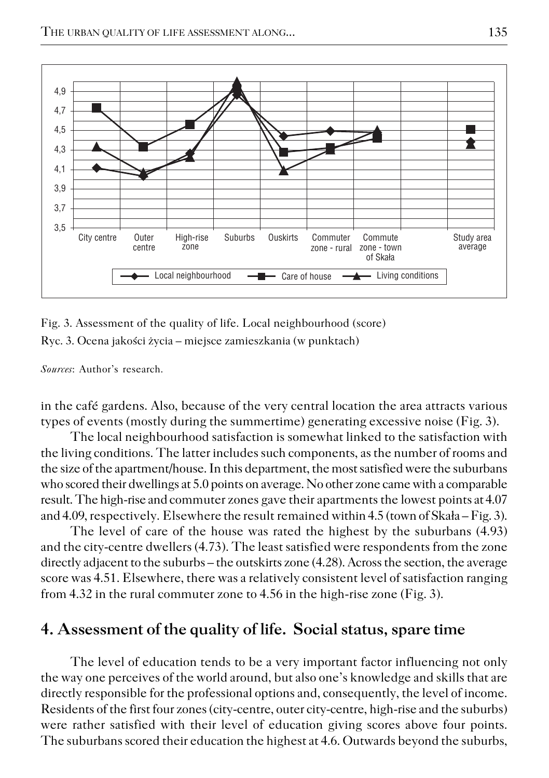

Fig. 3. Assessment of the quality of life. Local neighbourhood (score)

Ryc. 3. Ocena jakości życia – miejsce zamieszkania (w punktach)

*Sources*: Author's research.

in the café gardens. Also, because of the very central location the area attracts various types of events (mostly during the summertime) generating excessive noise (Fig. 3).

The local neighbourhood satisfaction is somewhat linked to the satisfaction with the living conditions. The latter includes such components, as the number of rooms and the size of the apartment/house. In this department, the most satisfied were the suburbans who scored their dwellings at 5.0 points on average. No other zone came with a comparable result. The high−rise and commuter zones gave their apartments the lowest points at 4.07 and 4.09, respectively. Elsewhere the result remained within 4.5 (town of Skała – Fig. 3).

The level of care of the house was rated the highest by the suburbans (4.93) and the city−centre dwellers (4.73). The least satisfied were respondents from the zone directly adjacent to the suburbs – the outskirts zone (4.28). Across the section, the average score was 4.51. Elsewhere, there was a relatively consistent level of satisfaction ranging from 4.32 in the rural commuter zone to 4.56 in the high−rise zone (Fig. 3).

## **4. Assessment of the quality of life. Social status, spare time**

The level of education tends to be a very important factor influencing not only the way one perceives of the world around, but also one's knowledge and skills that are directly responsible for the professional options and, consequently, the level of income. Residents of the first four zones (city−centre, outer city−centre, high−rise and the suburbs) were rather satisfied with their level of education giving scores above four points. The suburbans scored their education the highest at 4.6. Outwards beyond the suburbs,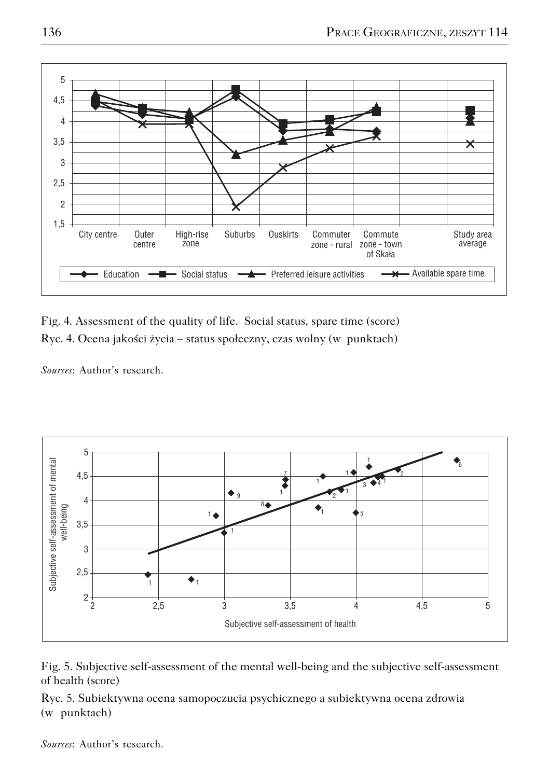

Fig. 4. Assessment of the quality of life. Social status, spare time (score) Ryc. 4. Ocena jakości życia – status społeczny, czas wolny (w punktach)

*Sources*: Author's research.





Ryc. 5. Subiektywna ocena samopoczucia psychicznego a subiektywna ocena zdrowia (w punktach)

*Sources*: Author's research.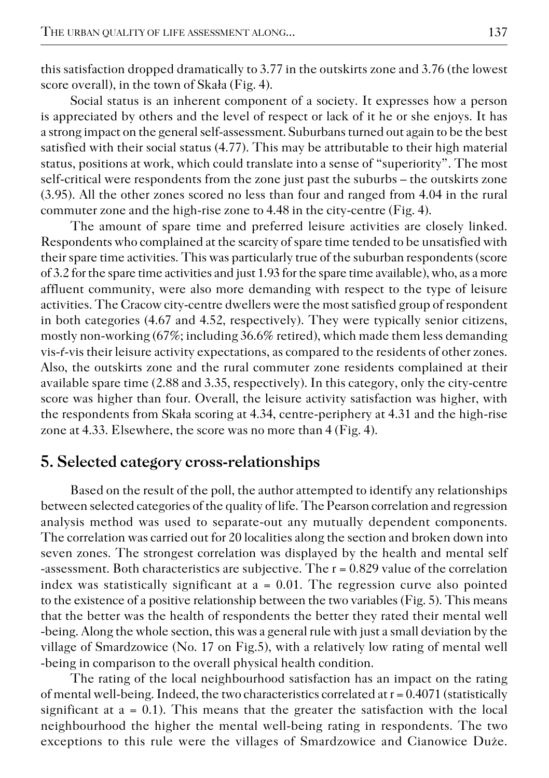this satisfaction dropped dramatically to 3.77 in the outskirts zone and 3.76 (the lowest score overall), in the town of Skała (Fig. 4).

Social status is an inherent component of a society. It expresses how a person is appreciated by others and the level of respect or lack of it he or she enjoys. It has a strong impact on the general self−assessment. Suburbans turned out again to be the best satisfied with their social status (4.77). This may be attributable to their high material status, positions at work, which could translate into a sense of "superiority". The most self−critical were respondents from the zone just past the suburbs – the outskirts zone (3.95). All the other zones scored no less than four and ranged from 4.04 in the rural commuter zone and the high−rise zone to 4.48 in the city−centre (Fig. 4).

The amount of spare time and preferred leisure activities are closely linked. Respondents who complained at the scarcity of spare time tended to be unsatisfied with their spare time activities. This was particularly true of the suburban respondents (score of 3.2 for the spare time activities and just 1.93 for the spare time available), who, as a more affluent community, were also more demanding with respect to the type of leisure activities. The Cracow city−centre dwellers were the most satisfied group of respondent in both categories (4.67 and 4.52, respectively). They were typically senior citizens, mostly non−working (67%; including 36.6% retired), which made them less demanding vis−ŕ−vis their leisure activity expectations, as compared to the residents of other zones. Also, the outskirts zone and the rural commuter zone residents complained at their available spare time (2.88 and 3.35, respectively). In this category, only the city−centre score was higher than four. Overall, the leisure activity satisfaction was higher, with the respondents from Skała scoring at 4.34, centre−periphery at 4.31 and the high−rise zone at 4.33. Elsewhere, the score was no more than 4 (Fig. 4).

### **5. Selected category cross−relationships**

Based on the result of the poll, the author attempted to identify any relationships between selected categories of the quality of life. The Pearson correlation and regression analysis method was used to separate−out any mutually dependent components. The correlation was carried out for 20 localities along the section and broken down into seven zones. The strongest correlation was displayed by the health and mental self −assessment. Both characteristics are subjective. The r = 0.829 value of the correlation index was statistically significant at  $a = 0.01$ . The regression curve also pointed to the existence of a positive relationship between the two variables (Fig. 5). This means that the better was the health of respondents the better they rated their mental well −being. Along the whole section, this was a general rule with just a small deviation by the village of Smardzowice (No. 17 on Fig.5), with a relatively low rating of mental well −being in comparison to the overall physical health condition.

The rating of the local neighbourhood satisfaction has an impact on the rating of mental well−being. Indeed, the two characteristics correlated at r = 0.4071 (statistically significant at  $a = 0.1$ ). This means that the greater the satisfaction with the local neighbourhood the higher the mental well−being rating in respondents. The two exceptions to this rule were the villages of Smardzowice and Cianowice Duże.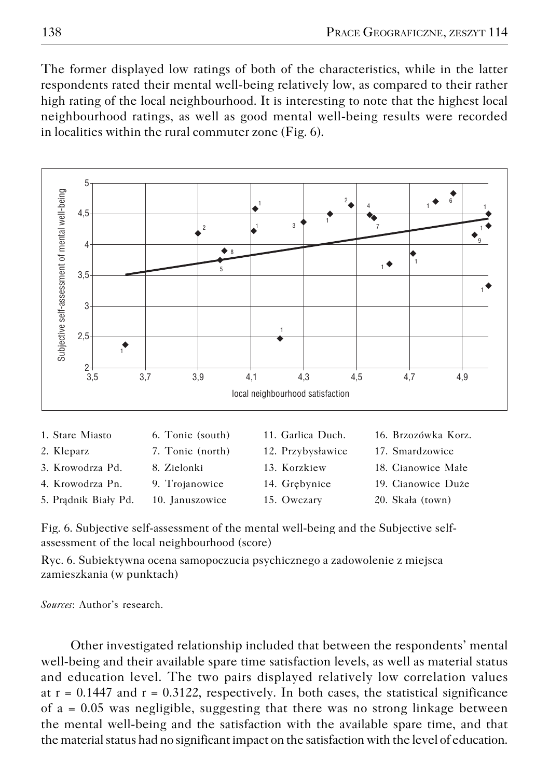The former displayed low ratings of both of the characteristics, while in the latter respondents rated their mental well−being relatively low, as compared to their rather high rating of the local neighbourhood. It is interesting to note that the highest local neighbourhood ratings, as well as good mental well−being results were recorded in localities within the rural commuter zone (Fig. 6).



| 1. Stare Miasto |  |
|-----------------|--|
|-----------------|--|

- 
- 
- 
- 5. Prądnik Biały Pd. 10. Januszowice 15. Owczary 20. Skała (town)
- 
- 
- -
- 1. Stare Miasto 6. Tonie (south) 11. Garlica Duch. 16. Brzozówka Korz.
- 2. Kleparz 7. Tonie (north) 12. Przybysławice 17. Smardzowice
- 3. Krowodrza Pd. 8. Zielonki 13. Korzkiew 18. Cianowice Małe
- 4. Krowodrza Pn. 9. Trojanowice 14. Grębynice 19. Cianowice Duże
	-

Fig. 6. Subjective self−assessment of the mental well−being and the Subjective self− assessment of the local neighbourhood (score)

Ryc. 6. Subiektywna ocena samopoczucia psychicznego a zadowolenie z miejsca zamieszkania (w punktach)

*Sources*: Author's research.

Other investigated relationship included that between the respondents' mental well−being and their available spare time satisfaction levels, as well as material status and education level. The two pairs displayed relatively low correlation values at  $r = 0.1447$  and  $r = 0.3122$ , respectively. In both cases, the statistical significance of a = 0.05 was negligible, suggesting that there was no strong linkage between the mental well−being and the satisfaction with the available spare time, and that the material status had no significant impact on the satisfaction with the level of education.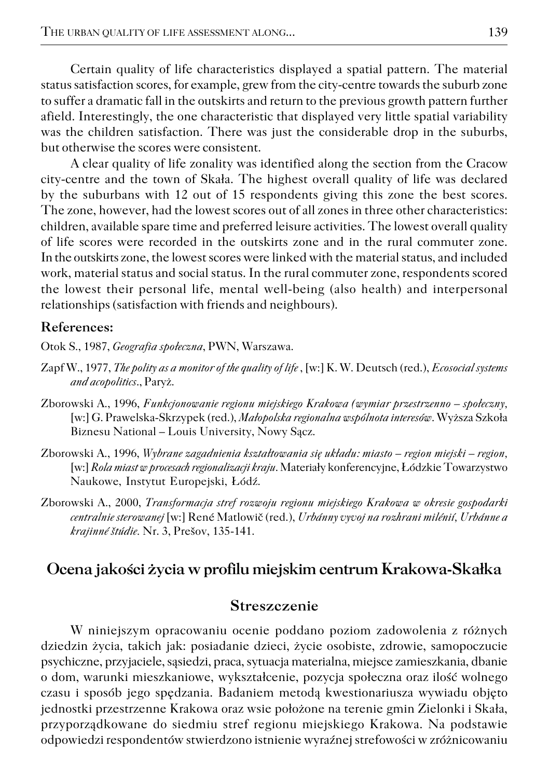Certain quality of life characteristics displayed a spatial pattern. The material status satisfaction scores, for example, grew from the city−centre towards the suburb zone to suffer a dramatic fall in the outskirts and return to the previous growth pattern further afield. Interestingly, the one characteristic that displayed very little spatial variability was the children satisfaction. There was just the considerable drop in the suburbs, but otherwise the scores were consistent.

A clear quality of life zonality was identified along the section from the Cracow city−centre and the town of Skała. The highest overall quality of life was declared by the suburbans with 12 out of 15 respondents giving this zone the best scores. The zone, however, had the lowest scores out of all zones in three other characteristics: children, available spare time and preferred leisure activities. The lowest overall quality of life scores were recorded in the outskirts zone and in the rural commuter zone. In the outskirts zone, the lowest scores were linked with the material status, and included work, material status and social status. In the rural commuter zone, respondents scored the lowest their personal life, mental well−being (also health) and interpersonal relationships (satisfaction with friends and neighbours).

#### **References:**

Otok S., 1987, *Geografia społeczna*, PWN, Warszawa.

- Zapf W., 1977, *The polity as a monitor of the quality of life* , [w:] K. W. Deutsch (red.), *Ecosocial systems and acopolitics*., Paryż.
- Zborowski A., 1996, *Funkcjonowanie regionu miejskiego Krakowa (wymiar przestrzenno społeczny,* [w:] G. Prawelska−Skrzypek (red.), *Małopolska regionalna wspólnota interesów*. Wyższa Szkoła Biznesu National – Louis University, Nowy Sącz.
- Zborowski A., 1996, *Wybrane zagadnienia kształtowania się układu: miasto region miejski region,* [w:] *Rola miast w procesach regionalizacji kraju*. Materiały konferencyjne, Łódzkie Towarzystwo Naukowe, Instytut Europejski, Łódź.
- Zborowski A., 2000, *Transformacja stref rozwoju regionu miejskiego Krakowa w okresie gospodarki centralnie sterowanej* [w:] René Matlowič (red.), *Urbánny vyvoj na rozhrani milénií, Urbánne a krajinné štúdie.* Nr. 3, Prešov, 135−141.

## **Ocena jakości życia w profilu miejskim centrum Krakowa−Skałka**

#### **Streszczenie**

W niniejszym opracowaniu ocenie poddano poziom zadowolenia z różnych dziedzin życia, takich jak: posiadanie dzieci, życie osobiste, zdrowie, samopoczucie psychiczne, przyjaciele, sąsiedzi, praca, sytuacja materialna, miejsce zamieszkania, dbanie o dom, warunki mieszkaniowe, wykształcenie, pozycja społeczna oraz ilość wolnego czasu i sposób jego spędzania. Badaniem metodą kwestionariusza wywiadu objęto jednostki przestrzenne Krakowa oraz wsie położone na terenie gmin Zielonki i Skała, przyporządkowane do siedmiu stref regionu miejskiego Krakowa. Na podstawie odpowiedzi respondentów stwierdzono istnienie wyraźnej strefowości w zróżnicowaniu